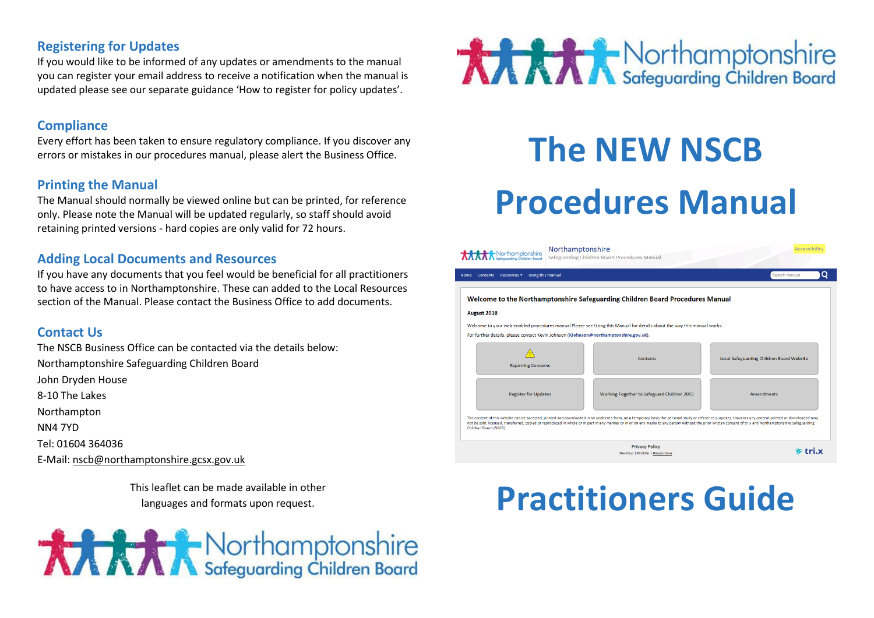# **Registering for Updates**

If you would like to be informed of any updates or amendments to the manual you can register your email address to receive a notification when the manual is updated please see our separate guidance 'How to register for policy updates'.

### **Compliance**

Every effort has been taken to ensure regulatory compliance. If you discover any errors or mistakes in our procedures manual, please alert the Business Office.

### **Printing the Manual**

The Manual should normally be viewed online but can be printed, for reference only. Please note the Manual will be updated regularly, so staff should avoid retaining printed versions - hard copies are only valid for 72 hours.

### **Adding Local Documents and Resources**

If you have any documents that you feel would be beneficial for all practitioners to have access to in Northamptonshire. These can added to the Local Resources section of the Manual. Please contact the Business Office to add documents.

# **Contact Us**

The NSCB Business Office can be contacted via the details below: Northamptonshire Safeguarding Children Board John Dryden House 8-10 The Lakes Northampton NN4 7YD Tel: 01604 364036 E-Mail: [nscb@northamptonshire.gcsx.gov.uk](mailto:nscb@northamptonshire.gcsx.gov.uk)

> This leaflet can be made available in other languages and formats upon request.





# **The NEW NSCB Procedures Manual**

| orthamptonshire                                                                       | Northamptonshire  | Safeguarding Children Board Procedures Manual                                                                                                                                                                                                                                                                                                                                                                          | Accessibilit                              |
|---------------------------------------------------------------------------------------|-------------------|------------------------------------------------------------------------------------------------------------------------------------------------------------------------------------------------------------------------------------------------------------------------------------------------------------------------------------------------------------------------------------------------------------------------|-------------------------------------------|
| <b>Resources ▼</b><br><b>Contents</b><br>Home                                         | Using this manual |                                                                                                                                                                                                                                                                                                                                                                                                                        | Search Manual<br>O                        |
|                                                                                       |                   | Welcome to the Northamptonshire Safeguarding Children Board Procedures Manual                                                                                                                                                                                                                                                                                                                                          |                                           |
| August 2016                                                                           |                   |                                                                                                                                                                                                                                                                                                                                                                                                                        |                                           |
|                                                                                       |                   | Welcome to your web enabled procedures manual Please see Using this Manual for details about the way this manual works.                                                                                                                                                                                                                                                                                                |                                           |
| For further details, please contact Kevin Johnson (KJohnson@northamptonshire.gov.uk). |                   |                                                                                                                                                                                                                                                                                                                                                                                                                        |                                           |
| <b>Reporting Concerns</b>                                                             |                   | Contents                                                                                                                                                                                                                                                                                                                                                                                                               | Local Safeguarding Children Board Website |
| <b>Register for Updates</b>                                                           |                   | Working Together to Safeguard Children 2015                                                                                                                                                                                                                                                                                                                                                                            | <b>Amendments</b>                         |
| Children Board (NSCB).                                                                |                   | The content of this website can be accessed, printed and downloaded in an unaltered form, on a temporary basis, for personal study or reference purposes. However any content printed or downloaded may<br>not be sold, licensed, transferred, copied or reproduced in whole or in part in any manner or in or on any media to any person without the prior written consent of tri.x and Northamptonshire Safeguarding |                                           |
|                                                                                       |                   | <b>Privacy Policy</b><br>Desktop   Mobile   Responsive                                                                                                                                                                                                                                                                                                                                                                 |                                           |

# **Practitioners Guide**